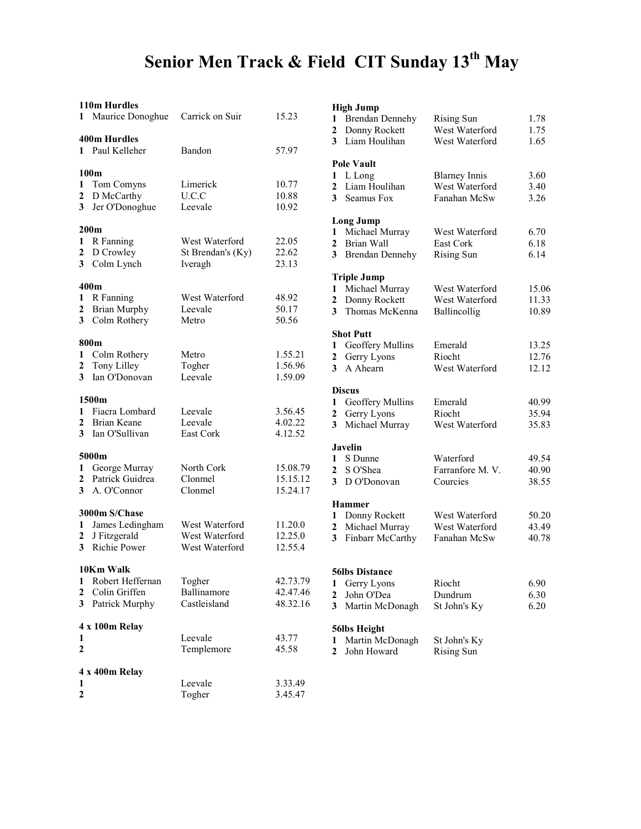#### Senior Men Track & Field CIT Sunday 13<sup>th</sup> May

#### 110m Hurdles

| 1                      | Maurice Donoghue                                    | Carrick on Suir                                    | 15.23                            |
|------------------------|-----------------------------------------------------|----------------------------------------------------|----------------------------------|
| 1                      | <b>400m Hurdles</b><br>Paul Kelleher                | Bandon                                             | 57.97                            |
| 1<br>2<br>3            | 100m<br>Tom Comyns<br>D McCarthy<br>Jer O'Donoghue  | Limerick<br>U.C.C<br>Leevale                       | 10.77<br>10.88<br>10.92          |
|                        | 200 <sub>m</sub>                                    |                                                    |                                  |
| 1<br>2<br>3            | R Fanning<br>D Crowley<br>Colm Lynch                | West Waterford<br>St Brendan's (Ky)<br>Iveragh     | 22.05<br>22.62<br>23.13          |
|                        | 400m                                                |                                                    |                                  |
| 1<br>2<br>3            | R Fanning<br><b>Brian Murphy</b><br>Colm Rothery    | West Waterford<br>Leevale<br>Metro                 | 48.92<br>50.17<br>50.56          |
|                        | 800m                                                |                                                    |                                  |
| 1<br>2<br>3            | Colm Rothery<br>Tony Lilley<br>Ian O'Donovan        | Metro<br>Togher<br>Leevale                         | 1.55.21<br>1.56.96<br>1.59.09    |
|                        | 1500m                                               |                                                    |                                  |
| 1<br>2<br>$\mathbf{3}$ | Fiacra Lombard<br>Brian Keane<br>Ian O'Sullivan     | Leevale<br>Leevale<br>East Cork                    | 3.56.45<br>4.02.22<br>4.12.52    |
|                        | 5000m                                               |                                                    |                                  |
| 1<br>2<br>3            | George Murray<br>Patrick Guidrea<br>A. O'Connor     | North Cork<br>Clonmel<br>Clonmel                   | 15.08.79<br>15.15.12<br>15.24.17 |
|                        | 3000m S/Chase                                       |                                                    |                                  |
| 1<br>2<br>$\mathbf{3}$ | James Ledingham<br>J Fitzgerald<br>Richie Power     | West Waterford<br>West Waterford<br>West Waterford | 11.20.0<br>12.25.0<br>12.55.4    |
|                        | 10Km Walk                                           |                                                    |                                  |
| 1<br>2<br>3            | Robert Heffernan<br>Colin Griffen<br>Patrick Murphy | Togher<br>Ballinamore<br>Castleisland              | 42.73.79<br>42.47.46<br>48.32.16 |
|                        | 4 x 100m Relay                                      |                                                    |                                  |
| 1<br>$\overline{2}$    |                                                     | Leevale<br>Templemore                              | 43.77<br>45.58                   |
|                        | 4 x 400m Relay                                      |                                                    |                                  |
| 1<br>$\overline{2}$    |                                                     | Leevale<br>Togher                                  | 3.33.49<br>3.45.47               |

#### High Jump 1 Brendan Dennehy Rising Sun 1.78 2 Donny Rockett West Waterford 1.75 3 Liam Houlihan West Waterford 1.65 Pole Vault 1 L Long Blarney Innis 3.60<br>2 Liam Houlihan West Waterford 3.40 2 Liam Houlihan West Waterford 3.40 3 Seamus Fox Fanahan McSw 3.26 Long Jump 1 Michael Murray West Waterford 6.70 2 Brian Wall East Cork 6.18 3 Brendan Dennehy Rising Sun 6.14 Triple Jump 1 Michael Murray West Waterford 15.06<br>2 Donny Rockett West Waterford 11.33 2 Donny Rockett West Waterford 11.33<br>3 Thomas McKenna Ballincollig 10.89 3 Thomas McKenna Ballincollig Shot Putt 1 Geoffery Mullins Emerald 13.25<br>
2 Gerry Lyons Riocht 12.76 2 Gerry Lyons Riocht 12.76<br>
3 A Ahearn West Waterford 12.12 West Waterford 12.12 **Discus** 1 Geoffery Mullins Emerald 40.99<br>
2 Gerry Lyons Riocht 35.94 2 Gerry Lyons 3 Michael Murray West Waterford 35.83 Javelin 1 S Dunne Waterford 49.54 2 S O'Shea Farranfore M. V. 40.90<br>
3 D O'Donovan Courcies 38.55  $3$  D O'Donovan Hammer 1 Donny Rockett West Waterford 50.20 2 Michael Murray West Waterford 43.49 3 Finbarr McCarthy Fanahan McSw 40.78 56lbs Distance 1 Gerry Lyons Riocht 6.90<br>
2 John O'Dea Dundrum 6.30 2 John O'Dea Dundrum 6.30 3 Martin McDonagh St John's Ky 6.20 56lbs Height 1 Martin McDonagh St John's Ky 2 John Howard Rising Sun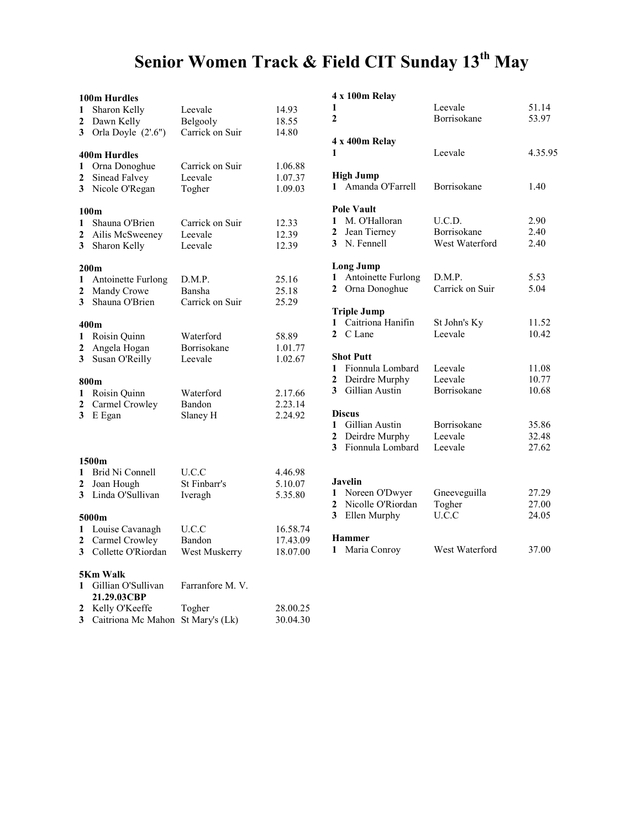# Senior Women Track & Field CIT Sunday 13<sup>th</sup> May

|                         | 100m Hurdles       |                 |          |
|-------------------------|--------------------|-----------------|----------|
| 1                       | Sharon Kelly       | Leevale         | 14.93    |
| 2                       | Dawn Kelly         | Belgooly        | 18.55    |
| 3                       | Orla Doyle (2'.6") | Carrick on Suir | 14.80    |
|                         | 400m Hurdles       |                 |          |
| 1                       | Orna Donoghue      | Carrick on Suir | 1.06.88  |
| 2                       | Sinead Falvey      | Leevale         | 1.07.37  |
| 3                       | Nicole O'Regan     | Togher          | 1.09.03  |
|                         | 100 <sub>m</sub>   |                 |          |
| 1                       | Shauna O'Brien     | Carrick on Suir | 12.33    |
| 2                       | Ailis McSweeney    | Leevale         | 12.39    |
| 3                       | Sharon Kelly       | Leevale         | 12.39    |
|                         | 200 <sub>m</sub>   |                 |          |
| 1                       | Antoinette Furlong | D.M.P.          | 25.16    |
| 2                       | Mandy Crowe        | Bansha          | 25.18    |
| 3                       | Shauna O'Brien     | Carrick on Suir | 25.29    |
|                         | 400m               |                 |          |
| 1                       | Roisin Quinn       | Waterford       | 58.89    |
| $\overline{\mathbf{c}}$ | Angela Hogan       | Borrisokane     | 1.01.77  |
| 3                       | Susan O'Reilly     | Leevale         | 1.02.67  |
|                         | 800m               |                 |          |
| 1                       | Roisin Quinn       | Waterford       | 2.17.66  |
| $\overline{\mathbf{c}}$ | Carmel Crowley     | Bandon          | 2.23.14  |
| 3                       | E Egan             | Slaney H        | 2.24.92  |
|                         |                    |                 |          |
|                         | 1500m              |                 |          |
| 1                       | Brid Ni Connell    | U.C.C           | 4.46.98  |
| $\overline{2}$          | Joan Hough         | St Finbarr's    | 5.10.07  |
| 3                       | Linda O'Sullivan   | Iveragh         | 5.35.80  |
|                         | 5000m              |                 |          |
| 1                       | Louise Cavanagh    | U.C.C           | 16.58.74 |
| 2                       | Carmel Crowley     | Bandon          | 17.43.09 |
| 3                       | Collette O'Riordan | West Muskerry   | 18.07.00 |
|                         | 5Km Walk           |                 |          |
| 1                       | Gillian O'Sullivan | Farranfore M.V. |          |
|                         | 21.29.03CBP        |                 |          |
| 2                       | Kelly O'Keeffe     | Togher          | 28.00.25 |
| 3                       | Caitriona Mc Mahon | St Mary's (Lk)  | 30.04.30 |

#### 4 x 100m Relay

| 1<br>$\mathbf{2}$                   |                                                                                 | Leevale<br>Borrisokane                   | 51.14<br>53.97          |
|-------------------------------------|---------------------------------------------------------------------------------|------------------------------------------|-------------------------|
| 1                                   | 4 x 400m Relay                                                                  | Leevale                                  | 4.35.95                 |
|                                     | <b>High Jump</b><br>1 Amanda O'Farrell                                          | <b>Borrisokane</b>                       | 1.40                    |
| $\mathbf{1}$<br>$\mathbf{2}$<br>3   | <b>Pole Vault</b><br>M. O'Halloran<br>Jean Tierney<br>N. Fennell                | U.C.D.<br>Borrisokane<br>West Waterford  | 2.90<br>2.40<br>2.40    |
| $\mathbf{1}$<br>$\mathbf{2}$        | <b>Long Jump</b><br>Antoinette Furlong<br>Orna Donoghue                         | D.M.P.<br>Carrick on Suir                | 5.53<br>5.04            |
| $\mathbf{1}$<br>$\mathbf{2}$        | <b>Triple Jump</b><br>Caitriona Hanifin<br>C Lane                               | St John's Ky<br>Leevale                  | 11.52<br>10.42          |
| 1<br>$\mathbf{2}$<br>3 <sup>1</sup> | <b>Shot Putt</b><br>Fionnula Lombard<br>Deirdre Murphy<br><b>Gillian Austin</b> | Leevale<br>Leevale<br><b>Borrisokane</b> | 11.08<br>10.77<br>10.68 |
| $\mathbf{2}$<br>3                   | <b>Discus</b><br>1 Gillian Austin<br>Deirdre Murphy<br>Fionnula Lombard         | Borrisokane<br>Leevale<br>Leevale        | 35.86<br>32.48<br>27.62 |
| $\mathbf{2}$<br>3 <sup>1</sup>      | <b>Javelin</b><br>1 Noreen O'Dwyer<br>Nicolle O'Riordan<br>Ellen Murphy         | Gneeveguilla<br>Togher<br>U.C.C          | 27.29<br>27.00<br>24.05 |
|                                     | <b>Hammer</b>                                                                   |                                          |                         |

Maria Conroy West Waterford 37.00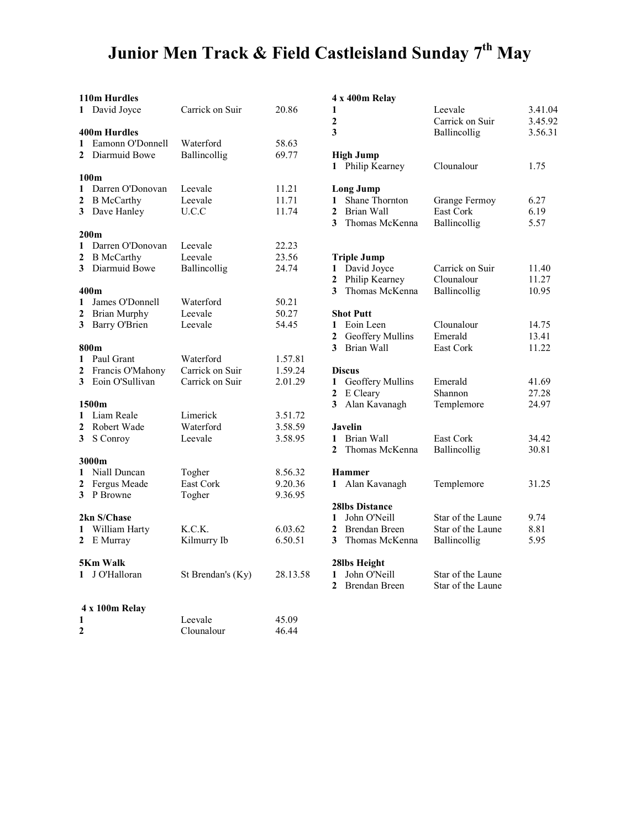## Junior Men Track & Field Castleisland Sunday 7<sup>th</sup> May

| 1                                                                                                               | 110m Hurdles<br>David Joyce                                            | Carrick on Suir                                 | 20.86                         |
|-----------------------------------------------------------------------------------------------------------------|------------------------------------------------------------------------|-------------------------------------------------|-------------------------------|
| 1<br>$\mathbf{2}$                                                                                               | <b>400m Hurdles</b><br>Eamonn O'Donnell<br>Diarmuid Bowe               | Waterford<br>Ballincollig                       | 58.63<br>69.77                |
| 100 <sub>m</sub><br>1<br>Darren O'Donovan<br>$\overline{c}$<br><b>B</b> McCarthy<br>$\mathbf{3}$<br>Dave Hanley |                                                                        | Leevale<br>Leevale<br>U.C.C                     | 11.21<br>11.71<br>11.74       |
| 1<br>2<br>3 <sup>1</sup>                                                                                        | 200m<br>Darren O'Donovan<br><b>B</b> McCarthy<br>Diarmuid Bowe         | Leevale<br>Leevale<br>Ballincollig              | 22.23<br>23.56<br>24.74       |
| 1<br>$\overline{\mathbf{c}}$<br>3                                                                               | 400m<br>James O'Donnell<br><b>Brian Murphy</b><br><b>Barry O'Brien</b> | Waterford<br>Leevale<br>Leevale                 | 50.21<br>50.27<br>54.45       |
| 1<br>$\mathbf{2}$<br>$\mathbf{3}$                                                                               | 800 <sub>m</sub><br>Paul Grant<br>Francis O'Mahony<br>Eoin O'Sullivan  | Waterford<br>Carrick on Suir<br>Carrick on Suir | 1.57.81<br>1.59.24<br>2.01.29 |
| 1<br>$\overline{2}$<br>$\mathbf{3}$                                                                             | 1500m<br>Liam Reale<br>Robert Wade<br>S Conroy                         | Limerick<br>Waterford<br>Leevale                | 3.51.72<br>3.58.59<br>3.58.95 |
| $\mathbf{1}$<br>2<br>$\mathbf{3}$                                                                               | 3000m<br>Niall Duncan<br>Fergus Meade<br>P Browne                      | Togher<br>East Cork<br>Togher                   | 8.56.32<br>9.20.36<br>9.36.95 |
| 1<br>$\mathbf{2}$                                                                                               | 2kn S/Chase<br>William Harty<br>E Murray                               | K.C.K.<br>Kilmurry Ib                           | 6.03.62<br>6.50.51            |
|                                                                                                                 | <b>5Km Walk</b><br>1 J O'Halloran                                      | St Brendan's (Ky)                               | 28.13.58                      |
| 1<br>$\mathbf{2}$                                                                                               | 4 x 100m Relay                                                         | Leevale<br>Clounalour                           | 45.09<br>46.44                |

#### 4 x 400m Relay

| 1<br>$\mathbf{2}$<br>3                                                                                             |                                                                                   | Leevale<br>Carrick on Suir<br>Ballincollig             | 3.41.04<br>3.45.92<br>3.56.31 |
|--------------------------------------------------------------------------------------------------------------------|-----------------------------------------------------------------------------------|--------------------------------------------------------|-------------------------------|
|                                                                                                                    | <b>High Jump</b><br>1 Philip Kearney                                              | Clounalour                                             | 1.75                          |
| <b>Long Jump</b><br>Shane Thornton<br>1<br>$\mathbf{2}$<br>Brian Wall<br>$\overline{\mathbf{3}}$<br>Thomas McKenna |                                                                                   | Grange Fermoy<br>East Cork<br>Ballincollig             | 6.27<br>6.19<br>5.57          |
| 1<br>$\overline{2}$<br>3 <sup>1</sup>                                                                              | <b>Triple Jump</b><br>David Joyce<br>Philip Kearney<br>Thomas McKenna             | Carrick on Suir<br>Clounalour<br>Ballincollig          | 11.40<br>11.27<br>10.95       |
| 1<br>$\mathbf{2}$<br>$\mathbf{3}$                                                                                  | <b>Shot Putt</b><br>Eoin Leen<br>Geoffery Mullins<br>Brian Wall                   | Clounalour<br>Emerald<br>East Cork                     | 14.75<br>13.41<br>11.22       |
| $\mathbf{1}$<br>$\mathbf{2}$<br>3                                                                                  | <b>Discus</b><br>Geoffery Mullins<br>E Cleary<br>Alan Kavanagh                    | Emerald<br>Shannon<br>Templemore                       | 41.69<br>27.28<br>24.97       |
| $\mathbf{2}$                                                                                                       | <b>Javelin</b><br>1 Brian Wall<br>Thomas McKenna                                  | East Cork<br>Ballincollig                              | 34.42<br>30.81                |
|                                                                                                                    | <b>Hammer</b><br>1 Alan Kavanagh                                                  | Templemore                                             | 31.25                         |
| 2<br>3                                                                                                             | <b>28lbs Distance</b><br>1 John O'Neill<br><b>Brendan Breen</b><br>Thomas McKenna | Star of the Laune<br>Star of the Laune<br>Ballincollig | 9.74<br>8.81<br>5.95          |
|                                                                                                                    | 28lbs Height                                                                      |                                                        |                               |

|     | -----------     |                   |
|-----|-----------------|-------------------|
| .58 | 1 John O'Neill  | Star of the Laune |
|     | 2 Brendan Breen | Star of the Laune |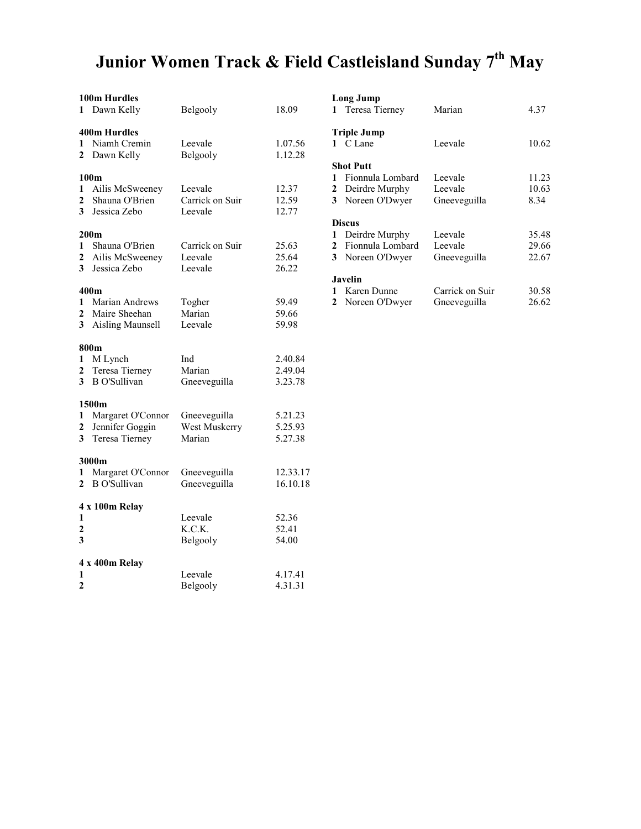# Junior Women Track & Field Castleisland Sunday 7<sup>th</sup> May

| 1                                   | 100m Hurdles<br>Dawn Kelly                                                | Belgooly                                | 18.09                         |
|-------------------------------------|---------------------------------------------------------------------------|-----------------------------------------|-------------------------------|
| 1<br>2                              | <b>400m Hurdles</b><br>Niamh Cremin<br>Dawn Kelly                         | Leevale<br>Belgooly                     | 1.07.56<br>1.12.28            |
| 1<br>$\overline{2}$<br>$\mathbf{3}$ | 100m<br>Ailis McSweeney<br>Shauna O'Brien<br>Jessica Zebo                 | Leevale<br>Carrick on Suir<br>Leevale   | 12.37<br>12.59<br>12.77       |
| 1<br>$\mathbf{3}$                   | 200 <sub>m</sub><br>Shauna O'Brien<br>2 Ailis McSweeney<br>Jessica Zebo   | Carrick on Suir<br>Leevale<br>Leevale   | 25.63<br>25.64<br>26.22       |
| 1<br>$\overline{2}$<br>3            | 400m<br><b>Marian Andrews</b><br>Maire Sheehan<br><b>Aisling Maunsell</b> | Togher<br>Marian<br>Leevale             | 59.49<br>59.66<br>59.98       |
| 1<br>$\overline{2}$<br>3            | 800m<br>M Lynch<br>Teresa Tierney<br><b>B</b> O'Sullivan                  | Ind<br>Marian<br>Gneeveguilla           | 2.40.84<br>2.49.04<br>3.23.78 |
| 1<br>$\mathbf{2}$<br>3              | 1500m<br>Margaret O'Connor<br>Jennifer Goggin<br>Teresa Tierney           | Gneeveguilla<br>West Muskerry<br>Marian | 5.21.23<br>5.25.93<br>5.27.38 |
| 1<br>$\mathbf{2}$                   | 3000m<br>Margaret O'Connor<br><b>B</b> O'Sullivan                         | Gneeveguilla<br>Gneeveguilla            | 12.33.17<br>16.10.18          |
| 1<br>$\mathbf{2}$<br>3              | 4 x 100m Relay                                                            | Leevale<br>K.C.K.<br>Belgooly           | 52.36<br>52.41<br>54.00       |
| 1<br>$\mathbf{2}$                   | 4 x 400m Relay                                                            | Leevale<br>Belgooly                     | 4.17.41<br>4.31.31            |

|   | Long Jump                          |                  |       |  |
|---|------------------------------------|------------------|-------|--|
|   | 1 Teresa Tierney                   | Marian           | 4.37  |  |
|   | Triple Jump                        |                  |       |  |
|   | 1 C Lane                           | Leevale          | 10.62 |  |
|   | Shot Putt                          |                  |       |  |
| 1 | Fionnula Lombard                   | Leevale          | 11.23 |  |
|   | 2 Deirdre Murphy                   | Leevale          | 10.63 |  |
|   | 3 Noreen O'Dwyer                   | Gneeveguilla     | 8.34  |  |
|   | <b>Discus</b>                      |                  |       |  |
| 1 | Deirdre Murphy                     | Leevale          | 35.48 |  |
|   | 2 Fionnula Lombard                 | Leevale          | 29.66 |  |
|   | 3 Noreen O'Dwyer                   | Gneeveguilla     | 22.67 |  |
|   | Javelin                            |                  |       |  |
|   | $1$ $V_{\alpha\alpha\alpha}$ Dunna | Corricle on Cuir | 20 CO |  |

| 1 Karen Dunne    | Carrick on Suir | 30.58 |
|------------------|-----------------|-------|
| 2 Noreen O'Dwyer | Gneeveguilla    | 26.62 |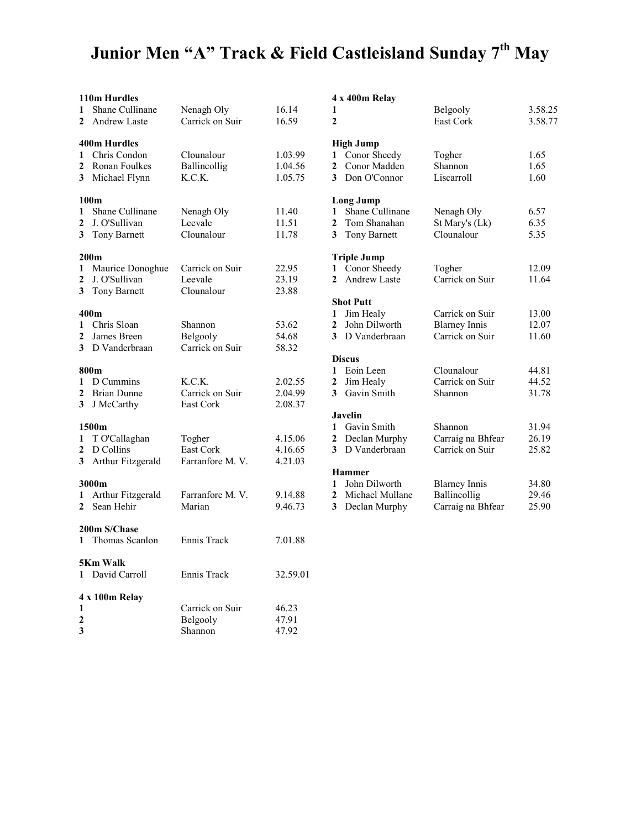## Junior Men "A" Track & Field Castleisland Sunday 7<sup>th</sup> May

|                                                | 110m Hurdles                                                                |                                          |                               |
|------------------------------------------------|-----------------------------------------------------------------------------|------------------------------------------|-------------------------------|
| 1<br>$\mathbf{2}$                              | Shane Cullinane<br>Andrew Laste                                             | Nenagh Oly<br>Carrick on Suir            | 16.14<br>16.59                |
| 1<br>2<br>3                                    | 400m Hurdles<br>Chris Condon<br>Ronan Foulkes<br>Michael Flynn              | Clounalour<br>Ballincollig<br>K.C.K.     | 1.03.99<br>1.04.56<br>1.05.75 |
| 1<br>2<br>3                                    | 100 <sub>m</sub><br>Shane Cullinane<br>J. O'Sullivan<br><b>Tony Barnett</b> | Nenagh Oly<br>Leevale<br>Clounalour      | 11.40<br>11.51<br>11.78       |
| 1<br>$\overline{c}$<br>$\overline{\mathbf{3}}$ | 200 <sub>m</sub><br>Maurice Donoghue<br>J. O'Sullivan<br>Tony Barnett       | Carrick on Suir<br>Leevale<br>Clounalour | 22.95<br>23.19<br>23.88       |
| 1<br>$\overline{2}$<br>$\mathbf{3}$            | 400m<br>Chris Sloan<br>James Breen<br>D Vanderbraan                         | Shannon<br>Belgooly<br>Carrick on Suir   | 53.62<br>54.68<br>58.32       |
| 1<br>2<br>3                                    | 800m<br>D Cummins<br><b>Brian Dunne</b><br>J McCarthy                       | K.C.K.<br>Carrick on Suir<br>East Cork   | 2.02.55<br>2.04.99<br>2.08.37 |
| 1<br>$\mathbf 2$<br>3                          | 1500m<br>T O'Callaghan<br>D Collins<br>Arthur Fitzgerald                    | Togher<br>East Cork<br>Farranfore M.V.   | 4.15.06<br>4.16.65<br>4.21.03 |
| 1<br>$\mathbf{2}$                              | 3000m<br>Arthur Fitzgerald<br>Sean Hehir                                    | Farranfore M.V.<br>Marian                | 9.14.88<br>9.46.73            |
| $\mathbf{1}$                                   | 200m S/Chase<br>Thomas Scanlon                                              | Ennis Track                              | 7.01.88                       |
|                                                | 5Km Walk<br>1 David Carroll                                                 | Ennis Track                              | 32.59.01                      |
| 1<br>2<br>3                                    | 4 x 100m Relay                                                              | Carrick on Suir<br>Belgooly<br>Shannon   | 46.23<br>47.91<br>47.92       |

#### 4 x 400m Relay

| 1<br>$\mathbf{2}$ |                                  | Belgooly<br>East Cork | 3.58.25<br>3.58.77 |
|-------------------|----------------------------------|-----------------------|--------------------|
|                   |                                  |                       |                    |
| 1                 | <b>High Jump</b><br>Conor Sheedy | Togher                | 1.65               |
| $\overline{2}$    | Conor Madden                     | Shannon               | 1.65               |
|                   | 3 Don O'Connor                   | Liscarroll            | 1.60               |
|                   | Long Jump                        |                       |                    |
| $\mathbf{1}$      | Shane Cullinane                  | Nenagh Oly            | 6.57               |
| $\mathbf{2}$      | Tom Shanahan                     | St Mary's (Lk)        | 6.35               |
| 3 <sup>1</sup>    | <b>Tony Barnett</b>              | Clounalour            | 5.35               |
|                   | <b>Triple Jump</b>               |                       |                    |
| $\mathbf{1}$      | Conor Sheedy                     | Togher                | 12.09              |
| $\mathbf{2}$      | Andrew Laste                     | Carrick on Suir       | 11.64              |
|                   | <b>Shot Putt</b>                 |                       |                    |
| $\mathbf{1}$      | Jim Healy                        | Carrick on Suir       | 13.00              |
| $\mathbf{2}$      | John Dilworth                    | <b>Blarney Innis</b>  | 12.07              |
|                   | 3 D Vanderbraan                  | Carrick on Suir       | 11.60              |
|                   | <b>Discus</b>                    |                       |                    |
|                   | 1 Eoin Leen                      | Clounalour            | 44.81              |
| $\mathbf{2}$      | Jim Healy                        | Carrick on Suir       | 44.52              |
| 3 <sup>1</sup>    | Gavin Smith                      | Shannon               | 31.78              |
|                   | <b>Javelin</b>                   |                       |                    |
|                   | 1 Gavin Smith                    | Shannon               | 31.94              |
|                   | 2 Declan Murphy                  | Carraig na Bhfear     | 26.19              |
| 3 <sup>1</sup>    | D Vanderbraan                    | Carrick on Suir       | 25.82              |
|                   | <b>Hammer</b>                    |                       |                    |
| $\mathbf{1}$      | John Dilworth                    | <b>Blarney Innis</b>  | 34.80              |
| $\mathbf{2}$      | Michael Mullane                  | Ballincollig          | 29.46              |
| 3                 | Declan Murphy                    | Carraig na Bhfear     | 25.90              |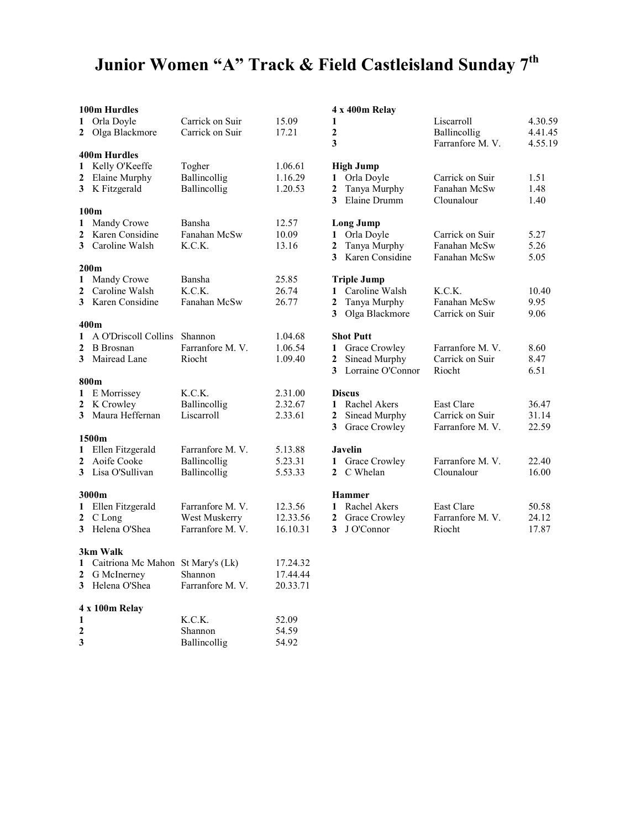# Junior Women "A" Track & Field Castleisland Sunday 7<sup>th</sup>

| 1<br>$\mathbf{2}$                 | 100m Hurdles<br>Orla Doyle<br>Olga Blackmore                                      | Carrick on Suir<br>Carrick on Suir                  | 15.09<br>17.21                   | 4 x 400m Relay<br>Liscarroll<br>1<br>$\mathbf 2$<br>Ballincollig<br>3<br>Farranfore M.V.                                                       | 4.30.59<br>4.41.45<br>4.55.19 |
|-----------------------------------|-----------------------------------------------------------------------------------|-----------------------------------------------------|----------------------------------|------------------------------------------------------------------------------------------------------------------------------------------------|-------------------------------|
| $\mathbf{1}$<br>$\mathbf{2}$      | <b>400m Hurdles</b><br>Kelly O'Keeffe<br>Elaine Murphy<br>3 K Fitzgerald          | Togher<br>Ballincollig<br>Ballincollig              | 1.06.61<br>1.16.29<br>1.20.53    | <b>High Jump</b><br>1 Orla Doyle<br>Carrick on Suir<br>Tanya Murphy<br>Fanahan McSw<br>2<br>Elaine Drumm<br>Clounalour<br>3                    | 1.51<br>1.48<br>1.40          |
| $\mathbf{1}$<br>2                 | 100m<br>Mandy Crowe<br>Karen Considine<br>3 Caroline Walsh                        | Bansha<br>Fanahan McSw<br>K.C.K.                    | 12.57<br>10.09<br>13.16          | <b>Long Jump</b><br>Orla Doyle<br>Carrick on Suir<br>$\mathbf{1}$<br>Tanya Murphy<br>Fanahan McSw<br>2<br>Karen Considine<br>3<br>Fanahan McSw | 5.27<br>5.26<br>5.05          |
| 1<br>$\mathbf{2}$                 | 200 <sub>m</sub><br>Mandy Crowe<br>Caroline Walsh<br>3 Karen Considine            | Bansha<br>K.C.K.<br>Fanahan McSw                    | 25.85<br>26.74<br>26.77          | <b>Triple Jump</b><br>1 Caroline Walsh<br>K.C.K.<br>Tanya Murphy<br>Fanahan McSw<br>2<br>Olga Blackmore<br>Carrick on Suir<br>3                | 10.40<br>9.95<br>9.06         |
| $\mathbf{1}$<br>$\mathbf{2}$<br>3 | 400m<br>A O'Driscoll Collins<br><b>B</b> Brosnan<br>Mairead Lane                  | Shannon<br>Farranfore M.V.<br>Riocht                | 1.04.68<br>1.06.54<br>1.09.40    | <b>Shot Putt</b><br>1 Grace Crowley<br>Farranfore M.V.<br>Sinead Murphy<br>Carrick on Suir<br>2<br>Lorraine O'Connor<br>Riocht<br>3            | 8.60<br>8.47<br>6.51          |
| 2                                 | 800m<br>1 E Morrissey<br>K Crowley<br>3 Maura Heffernan                           | K.C.K.<br>Ballincollig<br>Liscarroll                | 2.31.00<br>2.32.67<br>2.33.61    | <b>Discus</b><br>Rachel Akers<br>East Clare<br>1<br>Sinead Murphy<br>Carrick on Suir<br>2<br>Grace Crowley<br>Farranfore M.V.<br>3             | 36.47<br>31.14<br>22.59       |
| 1<br>$\mathbf{2}$                 | 1500m<br>Ellen Fitzgerald<br>Aoife Cooke<br>3 Lisa O'Sullivan                     | Farranfore M.V.<br>Ballincollig<br>Ballincollig     | 5.13.88<br>5.23.31<br>5.53.33    | Javelin<br>1 Grace Crowley<br>Farranfore M.V.<br>2 C Whelan<br>Clounalour                                                                      | 22.40<br>16.00                |
| $\mathbf{2}$                      | 3000m<br>1 Ellen Fitzgerald<br>C Long<br>3 Helena O'Shea                          | Farranfore M.V.<br>West Muskerry<br>Farranfore M.V. | 12.3.56<br>12.33.56<br>16.10.31  | <b>Hammer</b><br>1 Rachel Akers<br>East Clare<br>Farranfore M.V.<br>$\mathbf{2}$<br>Grace Crowley<br>J O'Connor<br>$\mathbf{3}$<br>Riocht      | 50.58<br>24.12<br>17.87       |
| $\mathbf{2}$                      | 3km Walk<br>1 Caitriona Mc Mahon St Mary's (Lk)<br>G McInerney<br>3 Helena O'Shea | Shannon<br>Farranfore M.V.                          | 17.24.32<br>17.44.44<br>20.33.71 |                                                                                                                                                |                               |
| 1<br>2<br>3                       | 4 x 100m Relay                                                                    | K.C.K.<br>Shannon<br>Ballincollig                   | 52.09<br>54.59<br>54.92          |                                                                                                                                                |                               |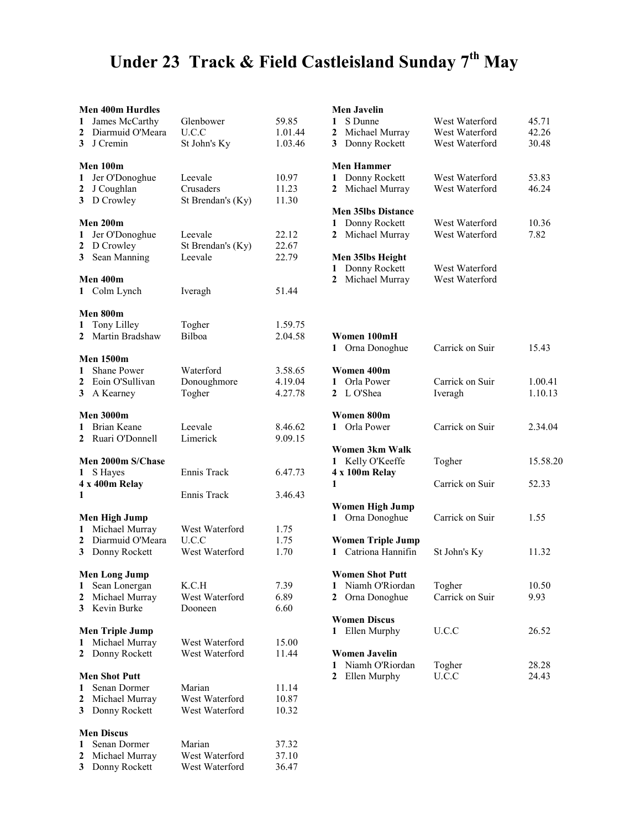# Under 23 Track & Field Castleisland Sunday 7<sup>th</sup> May

|                  | <b>Men 400m Hurdles</b> |                   |         |
|------------------|-------------------------|-------------------|---------|
| 1                | James McCarthy          | Glenbower         | 59.85   |
| 2                | Diarmuid O'Meara        | U.C.C             | 1.01.44 |
| 3                | J Cremin                | St John's Ky      | 1.03.46 |
|                  |                         |                   |         |
|                  | Men 100m                |                   |         |
| 1                | Jer O'Donoghue          | Leevale           | 10.97   |
| 2                | J Coughlan              | Crusaders         | 11.23   |
| 3                | D Crowley               | St Brendan's (Ky) | 11.30   |
|                  | Men 200m                |                   |         |
| 1                | Jer O'Donoghue          | Leevale           | 22.12   |
| 2                | D Crowley               | St Brendan's (Ky) | 22.67   |
| 3                | Sean Manning            | Leevale           | 22.79   |
|                  |                         |                   |         |
|                  | Men 400m                |                   |         |
| 1                | Colm Lynch              | Iveragh           | 51.44   |
|                  |                         |                   |         |
|                  | Men 800m                |                   |         |
| 1                | Tony Lilley             | Togher            | 1.59.75 |
| $\mathbf{2}$     | Martin Bradshaw         | Bilboa            | 2.04.58 |
|                  |                         |                   |         |
|                  | <b>Men 1500m</b>        |                   |         |
| 1                | Shane Power             | Waterford         | 3.58.65 |
| $\mathbf{2}$     | Eoin O'Sullivan         | Donoughmore       | 4.19.04 |
| $\mathbf{3}$     | A Kearney               | Togher            | 4.27.78 |
|                  |                         |                   |         |
|                  | <b>Men 3000m</b>        |                   |         |
| 1                | <b>Brian Keane</b>      | Leevale           | 8.46.62 |
| $\mathbf{2}$     | Ruari O'Donnell         | Limerick          | 9.09.15 |
|                  |                         |                   |         |
|                  |                         |                   |         |
|                  | Men 2000m S/Chase       |                   |         |
| 1                | S Hayes                 | Ennis Track       | 6.47.73 |
|                  | 4 x 400m Relay          |                   |         |
| 1                |                         | Ennis Track       | 3.46.43 |
|                  |                         |                   |         |
|                  | <b>Men High Jump</b>    |                   |         |
| 1                | Michael Murray          | West Waterford    | 1.75    |
| $\mathbf{2}$     | Diarmuid O'Meara        | U.C.C             | 1.75    |
| 3 <sup>1</sup>   | Donny Rockett           | West Waterford    | 1.70    |
|                  |                         |                   |         |
|                  | Men Long Jump           |                   |         |
| 1                | Sean Lonergan           | K.C.H             | 7.39    |
| 2                | Michael Murray          | West Waterford    | 6.89    |
| 3                | Kevin Burke             | Dooneen           | 6.60    |
|                  |                         |                   |         |
|                  | <b>Men Triple Jump</b>  |                   |         |
| 1                | Michael Murray          | West Waterford    | 15.00   |
| 2                | Donny Rockett           | West Waterford    | 11.44   |
|                  | <b>Men Shot Putt</b>    |                   |         |
| 1                | Senan Dormer            | Marian            | 11.14   |
| $\overline{2}$   | Michael Murray          | West Waterford    | 10.87   |
| 3                | Donny Rockett           | West Waterford    | 10.32   |
|                  |                         |                   |         |
|                  | <b>Men Discus</b>       |                   |         |
| 1                | Senan Dormer            | Marian            | 37.32   |
| $\boldsymbol{2}$ | Michael Murray          | West Waterford    | 37.10   |

|                | <b>Men Javelin</b>                         |                                                    |                         |
|----------------|--------------------------------------------|----------------------------------------------------|-------------------------|
| 1<br>2<br>3    | S Dunne<br>Michael Murray<br>Donny Rockett | West Waterford<br>West Waterford<br>West Waterford | 45.71<br>42.26<br>30.48 |
|                |                                            |                                                    |                         |
|                | <b>Men Hammer</b>                          |                                                    |                         |
| 1<br>2         | Donny Rockett<br>Michael Murray            | West Waterford<br>West Waterford                   | 53.83<br>46.24          |
|                |                                            |                                                    |                         |
|                | <b>Men 35lbs Distance</b>                  |                                                    |                         |
| 1<br>2         | Donny Rockett<br>Michael Murray            | West Waterford<br>West Waterford                   | 10.36<br>7.82           |
|                |                                            |                                                    |                         |
|                | Men 35lbs Height                           |                                                    |                         |
| 1              | Donny Rockett<br>Michael Murray            | West Waterford                                     |                         |
| 2              |                                            | West Waterford                                     |                         |
|                |                                            |                                                    |                         |
|                |                                            |                                                    |                         |
|                | Women 100mH                                |                                                    |                         |
|                | 1 Orna Donoghue                            | Carrick on Suir                                    | 15.43                   |
|                |                                            |                                                    |                         |
| $\mathbf{1}$   | Women 400m<br>Orla Power                   | Carrick on Suir                                    | 1.00.41                 |
| $\mathbf{2}^-$ | L O'Shea                                   | Iveragh                                            | 1.10.13                 |
|                |                                            |                                                    |                         |
| $\mathbf{1}$   | Women 800m<br>Orla Power                   | Carrick on Suir                                    | 2.34.04                 |
|                |                                            |                                                    |                         |
|                | Women 3km Walk                             |                                                    |                         |
|                | 1 Kelly O'Keeffe                           | Togher                                             | 15.58.20                |
| 1              | 4 x 100m Relay                             | Carrick on Suir                                    | 52.33                   |
|                |                                            |                                                    |                         |
|                | <b>Women High Jump</b>                     |                                                    |                         |
| $\mathbf{1}$   | Orna Donoghue                              | Carrick on Suir                                    | 1.55                    |
|                | <b>Women Triple Jump</b>                   |                                                    |                         |
|                | 1 Catriona Hannifin                        | St John's Ky                                       | 11.32                   |
|                | Women Shot Putt                            |                                                    |                         |
| 1              | Niamh O'Riordan                            | Togher                                             | 10.50                   |
| $\overline{2}$ | Orna Donoghue                              | Carrick on Suir                                    | 9.93                    |
|                | <b>Women Discus</b>                        |                                                    |                         |
| 1              | Ellen Murphy                               | U.C.C                                              | 26.52                   |
|                |                                            |                                                    |                         |
|                | <b>Women Javelin</b>                       |                                                    |                         |
| 1<br>2         | Niamh O'Riordan<br>Ellen Murphy            | Togher<br>U.C.C                                    | 28.28<br>24.43          |
|                |                                            |                                                    |                         |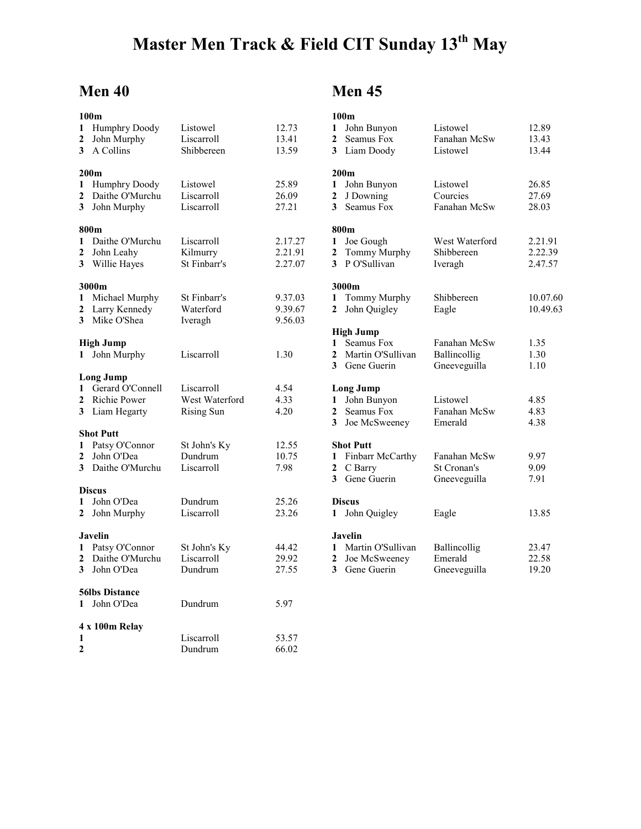## Master Men Track & Field CIT Sunday 13<sup>th</sup> May

## Men 40

|                         | 100m                              |                            |         |
|-------------------------|-----------------------------------|----------------------------|---------|
| 1                       | Humphry Doody                     | Listowel                   | 12.73   |
| $\overline{2}$          | John Murphy                       | Liscarroll                 | 13.41   |
| 3                       | A Collins                         | Shibbereen                 | 13.59   |
|                         |                                   |                            |         |
|                         | 200m                              |                            |         |
| 1                       | <b>Humphry Doody</b>              | Listowel                   | 25.89   |
| $\overline{2}$          | Daithe O'Murchu                   | Liscarroll                 | 26.09   |
| 3                       | John Murphy                       | Liscarroll                 | 27.21   |
|                         |                                   |                            |         |
|                         | 800m                              |                            |         |
| 1                       | Daithe O'Murchu                   | Liscarroll                 | 2.17.27 |
| $\overline{\mathbf{c}}$ | John Leahy                        | Kilmurry                   | 2.21.91 |
| 3                       | Willie Hayes                      | St Finbarr's               | 2.27.07 |
|                         | 3000m                             |                            |         |
| 1                       | Michael Murphy                    | St Finbarr's               | 9.37.03 |
| 2                       | Larry Kennedy                     | Waterford                  | 9.39.67 |
| 3                       | Mike O'Shea                       | Iveragh                    | 9.56.03 |
|                         |                                   |                            |         |
|                         | <b>High Jump</b>                  |                            |         |
| 1                       | John Murphy                       | Liscarroll                 | 1.30    |
|                         |                                   |                            |         |
|                         | <b>Long Jump</b>                  |                            |         |
| 1                       | Gerard O'Connell                  | Liscarroll                 | 4.54    |
| $\overline{c}$          | Richie Power                      | West Waterford             | 4.33    |
| 3                       | Liam Hegarty                      | <b>Rising Sun</b>          | 4.20    |
|                         | <b>Shot Putt</b>                  |                            |         |
| 1                       | Patsy O'Connor                    | St John's Ky               | 12.55   |
| $\overline{2}$          | John O'Dea                        | Dundrum                    | 10.75   |
| 3                       | Daithe O'Murchu                   | Liscarroll                 | 7.98    |
|                         |                                   |                            |         |
|                         | <b>Discus</b>                     |                            |         |
| 1                       | John O'Dea                        | Dundrum                    | 25.26   |
| $\overline{2}$          | John Murphy                       | Liscarroll                 | 23.26   |
|                         |                                   |                            |         |
|                         | Javelin                           |                            | 44.42   |
| 1<br>2                  | Patsy O'Connor<br>Daithe O'Murchu | St John's Ky<br>Liscarroll | 29.92   |
| 3                       | John O'Dea                        | Dundrum                    | 27.55   |
|                         |                                   |                            |         |
|                         | <b>56lbs Distance</b>             |                            |         |
| $\mathbf{1}$            | John O'Dea                        | Dundrum                    | 5.97    |
|                         |                                   |                            |         |
|                         | 4 x 100m Relay                    |                            |         |
| 1                       |                                   | Liscarroll                 | 53.57   |
| $\mathbf{2}$            |                                   | Dundrum                    | 66.02   |

## Men 45

|                | 100m                            |                    |          |
|----------------|---------------------------------|--------------------|----------|
| 1              | John Bunyon                     | Listowel           | 12.89    |
| 2              | Seamus Fox                      | Fanahan McSw       | 13.43    |
| 3              | Liam Doody                      | Listowel           | 13.44    |
|                |                                 |                    |          |
|                | 200 <sub>m</sub>                |                    |          |
| 1              | John Bunyon                     | Listowel           | 26.85    |
| $\overline{2}$ | J Downing                       | Courcies           | 27.69    |
| 3              | Seamus Fox                      | Fanahan McSw       | 28.03    |
|                | 800m                            |                    |          |
| 1              | Joe Gough                       | West Waterford     | 2.21.91  |
| 2              | Tommy Murphy                    | Shibbereen         | 2.22.39  |
| 3              | P O'Sullivan                    | Iveragh            | 2.47.57  |
|                |                                 |                    |          |
|                | 3000m                           |                    |          |
| 1              | Tommy Murphy                    | Shibbereen         | 10.07.60 |
| 2              | John Quigley                    | Eagle              | 10.49.63 |
|                | <b>High Jump</b>                |                    |          |
| $\mathbf{1}$   | Seamus Fox                      | Fanahan McSw       | 1.35     |
| $\overline{2}$ | Martin O'Sullivan               | Ballincollig       | 1.30     |
| 3              | Gene Guerin                     | Gneeveguilla       | 1.10     |
|                |                                 |                    |          |
| 1              | <b>Long Jump</b><br>John Bunyon | Listowel           | 4.85     |
| $\overline{2}$ | Seamus Fox                      | Fanahan McSw       | 4.83     |
| 3              | Joe McSweeney                   | Emerald            | 4.38     |
|                |                                 |                    |          |
|                | <b>Shot Putt</b>                |                    |          |
| 1              | Finbarr McCarthy                | Fanahan McSw       | 9.97     |
| 2              | C Barry                         | <b>St Cronan's</b> | 9.09     |
| 3              | Gene Guerin                     | Gneeveguilla       | 7.91     |
|                | <b>Discus</b>                   |                    |          |
| 1              | John Quigley                    | Eagle              | 13.85    |
|                | Javelin                         |                    |          |
| 1              | Martin O'Sullivan               | Ballincollig       | 23.47    |
| 2              | Joe McSweeney                   | Emerald            | 22.58    |
| 3              | Gene Guerin                     | Gneeveguilla       | 19.20    |
|                |                                 |                    |          |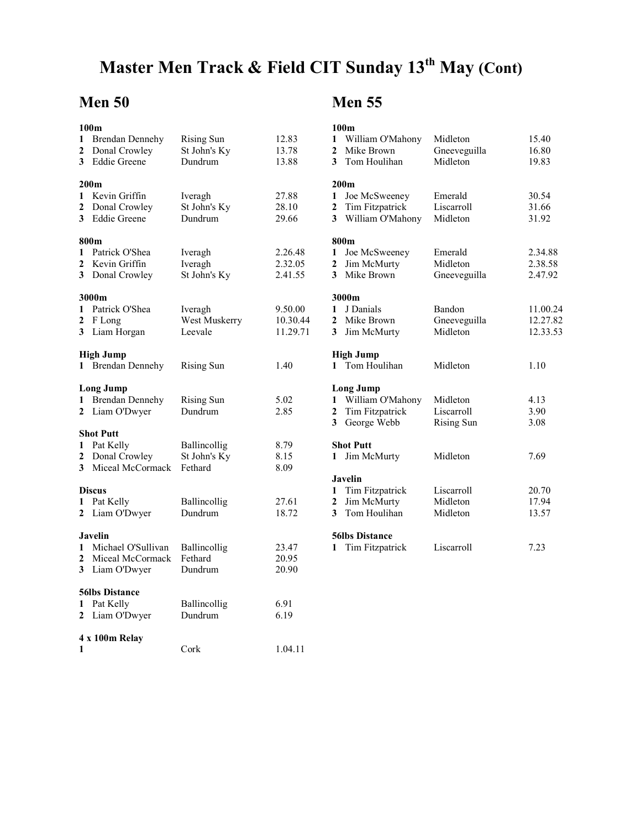# Master Men Track & Field CIT Sunday 13<sup>th</sup> May (Cont)

#### Men 50

|                   | 100m                                                                     |                                              |                                 |
|-------------------|--------------------------------------------------------------------------|----------------------------------------------|---------------------------------|
| 1<br>2<br>3       | <b>Brendan Dennehy</b><br>Donal Crowley<br><b>Eddie Greene</b>           | <b>Rising Sun</b><br>St John's Ky<br>Dundrum | 12.83<br>13.78<br>13.88         |
| 1<br>2<br>3       | 200m<br>Kevin Griffin<br>Donal Crowley<br><b>Eddie Greene</b>            | Iveragh<br>St John's Ky<br>Dundrum           | 27.88<br>28.10<br>29.66         |
| 1<br>2            | 800m<br>Patrick O'Shea<br>Kevin Griffin<br>3 Donal Crowley               | Iveragh<br>Iveragh<br>St John's Ky           | 2.26.48<br>2.32.05<br>2.41.55   |
| 1<br>2<br>3       | 3000m<br>Patrick O'Shea<br>F Long<br>Liam Horgan                         | Iveragh<br>West Muskerry<br>Leevale          | 9.50.00<br>10.30.44<br>11.29.71 |
| 1                 | <b>High Jump</b><br><b>Brendan Dennehy</b>                               | Rising Sun                                   | 1.40                            |
| 1<br>$\mathbf{2}$ | <b>Long Jump</b><br><b>Brendan Dennehy</b><br>Liam O'Dwyer               | <b>Rising Sun</b><br>Dundrum                 | 5.02<br>2.85                    |
| 1<br>$\mathbf{2}$ | <b>Shot Putt</b><br>Pat Kelly<br>Donal Crowley<br>3 Miceal McCormack     | Ballincollig<br>St John's Ky<br>Fethard      | 8.79<br>8.15<br>8.09            |
| 1<br>2            | <b>Discus</b><br>Pat Kelly<br>Liam O'Dwyer                               | Ballincollig<br>Dundrum                      | 27.61<br>18.72                  |
| 1<br>2<br>3       | <b>Javelin</b><br>Michael O'Sullivan<br>Miceal McCormack<br>Liam O'Dwyer | Ballincollig<br>Fethard<br>Dundrum           | 23.47<br>20.95<br>20.90         |
| 1<br>$\mathbf{2}$ | <b>56lbs Distance</b><br>Pat Kelly<br>Liam O'Dwyer                       | Ballincollig<br>Dundrum                      | 6.91<br>6.19                    |
| 1                 | 4 x 100m Relay                                                           | Cork                                         | 1.04.11                         |

#### Men 55

|                         | 100 <sub>m</sub>       |                   |          |
|-------------------------|------------------------|-------------------|----------|
| 1                       | William O'Mahony       | Midleton          | 15.40    |
| $\overline{2}$          | Mike Brown             | Gneeveguilla      | 16.80    |
| 3                       | Tom Houlihan           | Midleton          | 19.83    |
|                         |                        |                   |          |
|                         | 200 <sub>m</sub>       |                   |          |
| 1                       | Joe McSweeney          | Emerald           | 30.54    |
| $\overline{2}$          | Tim Fitzpatrick        | Liscarroll        | 31.66    |
| 3                       | William O'Mahony       | Midleton          | 31.92    |
|                         | 800m                   |                   |          |
| 1                       | Joe McSweeney          | Emerald           | 2.34.88  |
| 2                       | Jim McMurty            | Midleton          | 2.38.58  |
| 3                       | Mike Brown             | Gneeveguilla      | 2.47.92  |
|                         |                        |                   |          |
|                         | 3000m                  |                   |          |
| $\mathbf{1}$            | J Danials              | Bandon            | 11.00.24 |
| $\overline{2}$          | Mike Brown             | Gneeveguilla      | 12.27.82 |
| 3                       | Jim McMurty            | Midleton          | 12.33.53 |
|                         | <b>High Jump</b>       |                   |          |
| $\mathbf{1}$            | Tom Houlihan           | Midleton          | 1.10     |
|                         |                        |                   |          |
|                         | <b>Long Jump</b>       |                   |          |
| 1                       | William O'Mahony       | Midleton          | 4.13     |
| $\overline{\mathbf{c}}$ | Tim Fitzpatrick        | Liscarroll        | 3.90     |
| 3                       | George Webb            | <b>Rising Sun</b> | 3.08     |
|                         | <b>Shot Putt</b>       |                   |          |
| 1                       | Jim McMurty            | Midleton          | 7.69     |
|                         | <b>Javelin</b>         |                   |          |
| 1                       | Tim Fitzpatrick        | Liscarroll        | 20.70    |
| 2                       | Jim McMurty            | Midleton          | 17.94    |
| 3                       | Tom Houlihan           | Midleton          | 13.57    |
|                         |                        |                   |          |
|                         | <b>56lbs Distance</b>  |                   |          |
| 1                       | <b>Tim Fitzpatrick</b> | Liscarroll        | 7.23     |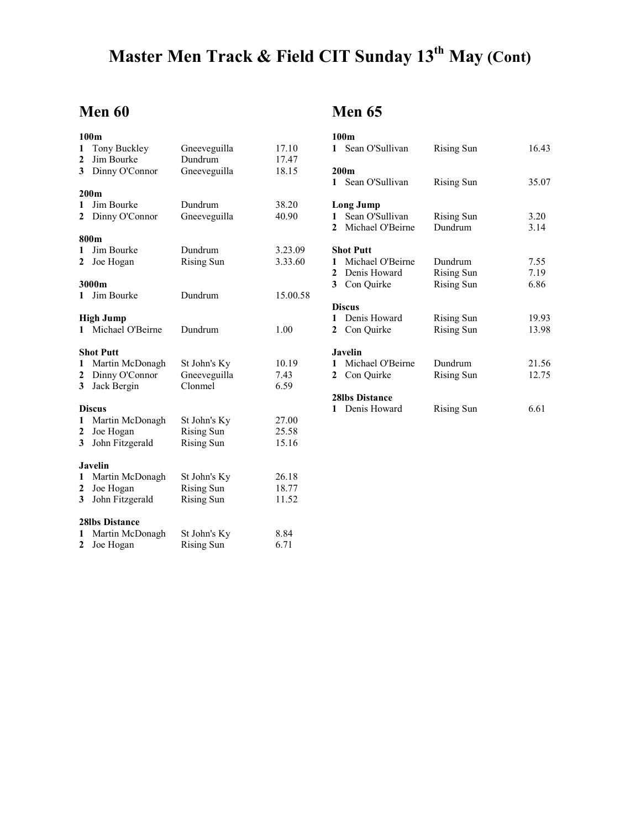# Master Men Track & Field CIT Sunday 13<sup>th</sup> May (Cont)

#### Men 60

|                | 100 <sub>m</sub>      |                   |          |
|----------------|-----------------------|-------------------|----------|
| 1              | Tony Buckley          | Gneeveguilla      | 17.10    |
| 2              | Jim Bourke            | Dundrum           | 17.47    |
| 3              | Dinny O'Connor        | Gneeveguilla      | 18.15    |
|                | 200 <sub>m</sub>      |                   |          |
| 1              | Jim Bourke            | Dundrum           | 38.20    |
| 2              | Dinny O'Connor        | Gneeveguilla      | 40.90    |
|                | 800m                  |                   |          |
| 1              | Jim Bourke            | Dundrum           | 3.23.09  |
| 2              | Joe Hogan             | <b>Rising Sun</b> | 3.33.60  |
|                | 3000m                 |                   |          |
| 1              | Jim Bourke            | Dundrum           | 15.00.58 |
|                | <b>High Jump</b>      |                   |          |
|                | 1 Michael O'Beirne    | Dundrum           | 1.00     |
|                | <b>Shot Putt</b>      |                   |          |
| 1              | Martin McDonagh       | St John's Ky      | 10.19    |
| $\mathbf{2}$   | Dinny O'Connor        | Gneeveguilla      | 7.43     |
| 3              | Jack Bergin           | Clonmel           | 6.59     |
|                | <b>Discus</b>         |                   |          |
| 1              | Martin McDonagh       | St John's Ky      | 27.00    |
| $\mathbf{2}$   | Joe Hogan             | <b>Rising Sun</b> | 25.58    |
| 3              | John Fitzgerald       | <b>Rising Sun</b> | 15.16    |
|                | <b>Javelin</b>        |                   |          |
| 1              | Martin McDonagh       | St John's Ky      | 26.18    |
| $\mathbf{2}$   | Joe Hogan             | <b>Rising Sun</b> | 18.77    |
| 3 <sup>1</sup> | John Fitzgerald       | <b>Rising Sun</b> | 11.52    |
|                | <b>28lbs Distance</b> |                   |          |
| 1              | Martin McDonagh       | St John's Ky      | 8.84     |
| 2              | Joe Hogan             | <b>Rising Sun</b> | 6.71     |

#### Men 65

|              | 100 <sub>m</sub>      |                   |       |
|--------------|-----------------------|-------------------|-------|
| $\mathbf{1}$ | Sean O'Sullivan       | Rising Sun        | 16.43 |
|              | 200 <sub>m</sub>      |                   |       |
| $\mathbf{1}$ | Sean O'Sullivan       | Rising Sun        | 35.07 |
|              | Long Jump             |                   |       |
| $\mathbf{1}$ | Sean O'Sullivan       | Rising Sun        | 3.20  |
| $\mathbf{2}$ | Michael O'Beirne      | Dundrum           | 3.14  |
|              | <b>Shot Putt</b>      |                   |       |
|              | 1 Michael O'Beirne    | Dundrum           | 7.55  |
|              | 2 Denis Howard        | <b>Rising Sun</b> | 7.19  |
|              | 3 Con Quirke          | <b>Rising Sun</b> | 6.86  |
|              | <b>Discus</b>         |                   |       |
| 1.           | Denis Howard          | Rising Sun        | 19.93 |
|              | 2 Con Quirke          | <b>Rising Sun</b> | 13.98 |
|              | <b>Javelin</b>        |                   |       |
| 1.           | Michael O'Beirne      | Dundrum           | 21.56 |
| $\mathbf{2}$ | Con Quirke            | Rising Sun        | 12.75 |
|              | <b>28lbs Distance</b> |                   |       |
| 1            | Denis Howard          | Rising Sun        | 6.61  |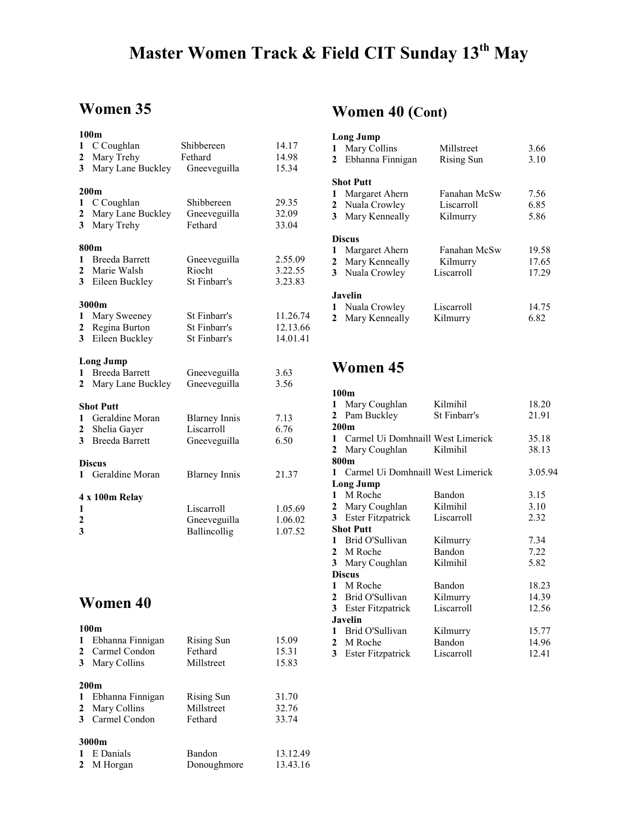# Master Women Track & Field CIT Sunday 13<sup>th</sup> May

#### Women 35

| 1                       | 100 <sub>m</sub><br>C Coughlan | Shibbereen           | 14.17    |
|-------------------------|--------------------------------|----------------------|----------|
| $\boldsymbol{2}$        | Mary Trehy                     | Fethard              | 14.98    |
| 3                       | Mary Lane Buckley              | Gneeveguilla         | 15.34    |
|                         |                                |                      |          |
|                         | 200 <sub>m</sub>               |                      |          |
| 1                       | C Coughlan                     | Shibbereen           | 29.35    |
| 2                       | Mary Lane Buckley              | Gneeveguilla         | 32.09    |
| 3                       | Mary Trehy                     | Fethard              | 33.04    |
|                         | 800m                           |                      |          |
| 1                       | <b>Breeda Barrett</b>          | Gneeveguilla         | 2.55.09  |
| 2                       | Marie Walsh                    | Riocht               | 3.22.55  |
| 3                       | Eileen Buckley                 | St Finbarr's         | 3.23.83  |
|                         | 3000m                          |                      |          |
| 1                       | Mary Sweeney                   | St Finbarr's         | 11.26.74 |
| 2                       | Regina Burton                  | St Finbarr's         | 12.13.66 |
| $\overline{\mathbf{3}}$ | Eileen Buckley                 | St Finbarr's         | 14.01.41 |
|                         | <b>Long Jump</b>               |                      |          |
|                         | 1 Breeda Barrett               | Gneeveguilla         | 3.63     |
| $\mathbf{2}$            | Mary Lane Buckley              | Gneeveguilla         | 3.56     |
|                         | <b>Shot Putt</b>               |                      |          |
|                         | 1 Geraldine Moran              | <b>Blarney Innis</b> | 7.13     |
| $\mathbf{2}$            | Shelia Gayer                   | Liscarroll           | 6.76     |
| 3                       | <b>Breeda Barrett</b>          | Gneeveguilla         | 6.50     |
|                         | <b>Discus</b>                  |                      |          |
|                         | 1 Geraldine Moran              | <b>Blarney Innis</b> | 21.37    |
|                         | 4 x 100m Relay                 |                      |          |
| 1                       |                                | Liscarroll           | 1.05.69  |
| 2                       |                                | Gneeveguilla         | 1.06.02  |
| 3                       |                                | Ballincollig         | 1.07.52  |
|                         |                                |                      |          |

#### Women 40

#### 100m

| $\mathbf{1}$<br>2<br>3 | Ebhanna Finnigan<br>Carmel Condon<br>Mary Collins                     | Rising Sun<br>Fethard<br>Millstreet | 15.09<br>15.31<br>15.83 |
|------------------------|-----------------------------------------------------------------------|-------------------------------------|-------------------------|
| 1<br>2<br>3            | 200 <sub>m</sub><br>Ebhanna Finnigan<br>Mary Collins<br>Carmel Condon | Rising Sun<br>Millstreet<br>Fethard | 31.70<br>32.76<br>33.74 |
| $\overline{2}$         | 3000m<br>E Danials<br>M Horgan                                        | Bandon<br>Donoughmore               | 13.12.49<br>13.43.16    |

#### Women 40 (Cont)

|   | <b>Long Jump</b> |              |       |
|---|------------------|--------------|-------|
| 1 | Mary Collins     | Millstreet   | 3.66  |
| 2 | Ebhanna Finnigan | Rising Sun   | 3.10  |
|   | <b>Shot Putt</b> |              |       |
| 1 | Margaret Ahern   | Fanahan McSw | 7.56  |
|   | 2 Nuala Crowley  | Liscarroll   | 6.85  |
| 3 | Mary Kenneally   | Kilmurry     | 5.86  |
|   | <b>Discus</b>    |              |       |
| 1 | Margaret Ahern   | Fanahan McSw | 19.58 |
| 2 | Mary Kenneally   | Kilmurry     | 17.65 |
| 3 | Nuala Crowley    | Liscarroll   | 17.29 |
|   | Javelin          |              |       |
|   | Nuala Crowley    | Liscarroll   | 14.75 |
| 2 | Mary Kenneally   | Kilmurry     | 6.82  |

#### Women 45

|              | 100 <sub>m</sub>                  |              |         |
|--------------|-----------------------------------|--------------|---------|
| 1            | Mary Coughlan                     | Kilmihil     | 18.20   |
| 2            | Pam Buckley                       | St Finbarr's | 21.91   |
|              | 200 <sub>m</sub>                  |              |         |
| $\mathbf{1}$ | Carmel Ui Domhnaill West Limerick |              | 35.18   |
| 2            | Mary Coughlan                     | Kilmihil     | 38.13   |
|              | 800m                              |              |         |
| 1.           | Carmel Ui Domhnaill West Limerick |              | 3.05.94 |
|              | Long Jump                         |              |         |
| $\mathbf{1}$ | M Roche                           | Bandon       | 3.15    |
|              | 2 Mary Coughlan                   | Kilmihil     | 3.10    |
| 3            | <b>Ester Fitzpatrick</b>          | Liscarroll   | 2.32    |
|              | <b>Shot Putt</b>                  |              |         |
|              | 1 Brid O'Sullivan                 | Kilmurry     | 7.34    |
|              | 2 M Roche                         | Bandon       | 7.22    |
|              | 3 Mary Coughlan                   | Kilmihil     | 5.82    |
|              | <b>Discus</b>                     |              |         |
| $\mathbf{1}$ | M Roche                           | Bandon       | 18.23   |
| 2            | Brid O'Sullivan                   | Kilmurry     | 14.39   |
| 3            | Ester Fitzpatrick                 | Liscarroll   | 12.56   |
|              | <b>Javelin</b>                    |              |         |
| 1            | Brid O'Sullivan                   | Kilmurry     | 15.77   |
|              | 2 M Roche                         | Bandon       | 14.96   |
| 3            | Ester Fitzpatrick                 | Liscarroll   | 12.41   |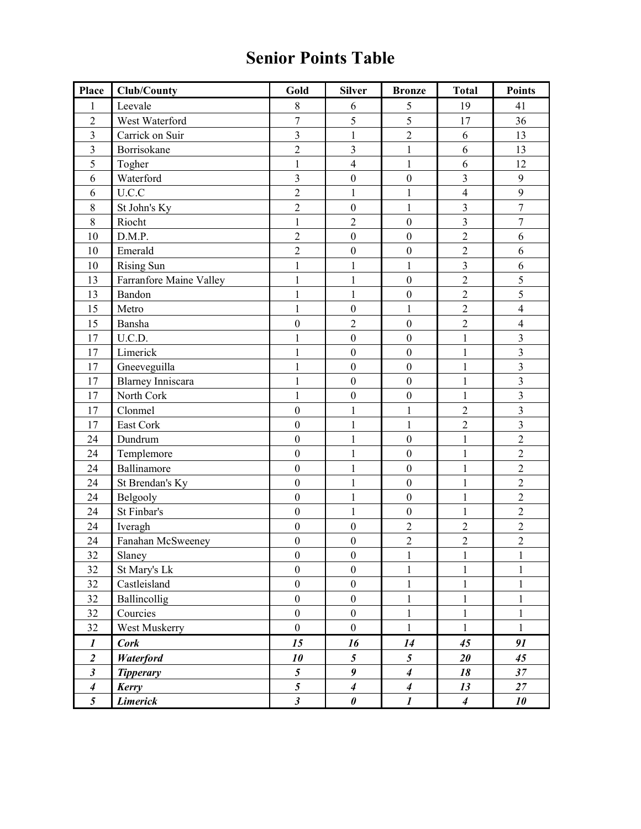## Senior Points Table

| Place            | <b>Club/County</b>       | Gold                      | <b>Silver</b>    | <b>Bronze</b>    | <b>Total</b>     | <b>Points</b>           |
|------------------|--------------------------|---------------------------|------------------|------------------|------------------|-------------------------|
| 1                | Leevale                  | 8                         | 6                | 5                | 19               | 41                      |
| $\overline{2}$   | West Waterford           | $\overline{7}$            | 5                | 5                | 17               | 36                      |
| $\overline{3}$   | Carrick on Suir          | $\overline{\mathbf{3}}$   | $\mathbf 1$      | $\overline{2}$   | 6                | 13                      |
| $\overline{3}$   | Borrisokane              | $\overline{2}$            | $\overline{3}$   | $\mathbf{1}$     | 6                | 13                      |
| 5                | Togher                   | $\mathbf{1}$              | $\overline{4}$   | $\mathbf{1}$     | 6                | 12                      |
| 6                | Waterford                | $\overline{3}$            | $\boldsymbol{0}$ | $\boldsymbol{0}$ | $\overline{3}$   | 9                       |
| 6                | U.C.C                    | $\overline{2}$            | $\mathbf{1}$     | $\mathbf{1}$     | $\overline{4}$   | 9                       |
| $8\,$            | St John's Ky             | $\overline{2}$            | $\boldsymbol{0}$ | $\,1$            | $\overline{3}$   | $\boldsymbol{7}$        |
| $\,$ $\,$        | Riocht                   | $\mathbf{1}$              | $\overline{2}$   | $\boldsymbol{0}$ | $\overline{3}$   | $\boldsymbol{7}$        |
| 10               | D.M.P.                   | $\overline{2}$            | $\mathbf{0}$     | $\mathbf{0}$     | $\overline{2}$   | 6                       |
| 10               | Emerald                  | $\overline{2}$            | $\boldsymbol{0}$ | $\boldsymbol{0}$ | $\overline{2}$   | 6                       |
| 10               | <b>Rising Sun</b>        | $\mathbf{1}$              | $\mathbf{1}$     | $\mathbf{1}$     | $\overline{3}$   | 6                       |
| 13               | Farranfore Maine Valley  | $\mathbf{1}$              | $\mathbf{1}$     | $\boldsymbol{0}$ | $\overline{2}$   | 5                       |
| 13               | Bandon                   | $\mathbf{1}$              | $\mathbf{1}$     | $\boldsymbol{0}$ | $\overline{2}$   | 5                       |
| 15               | Metro                    | $\mathbf{1}$              | $\boldsymbol{0}$ | $\mathbf{1}$     | $\overline{2}$   | $\overline{4}$          |
| 15               | Bansha                   | $\boldsymbol{0}$          | $\overline{2}$   | $\boldsymbol{0}$ | $\overline{2}$   | $\overline{4}$          |
| 17               | U.C.D.                   | $\mathbf{1}$              | $\overline{0}$   | $\mathbf{0}$     | $\mathbf{1}$     | $\overline{3}$          |
| 17               | Limerick                 | $\mathbf{1}$              | $\boldsymbol{0}$ | $\boldsymbol{0}$ | $\mathbf{1}$     | $\overline{3}$          |
| 17               | Gneeveguilla             | 1                         | $\boldsymbol{0}$ | $\boldsymbol{0}$ | $\mathbf{1}$     | $\overline{3}$          |
| 17               | <b>Blarney Inniscara</b> | $\mathbf{1}$              | $\mathbf{0}$     | $\mathbf{0}$     | $\mathbf{1}$     | $\overline{3}$          |
| 17               | North Cork               | $\mathbf{1}$              | $\boldsymbol{0}$ | $\boldsymbol{0}$ | $\mathbf{1}$     | $\overline{3}$          |
| 17               | Clonmel                  | $\boldsymbol{0}$          | $\mathbf 1$      | $\mathbf{1}$     | $\overline{2}$   | $\overline{\mathbf{3}}$ |
| 17               | East Cork                | $\boldsymbol{0}$          | $\mathbf{1}$     | $\mathbf{1}$     | $\overline{2}$   | $\overline{3}$          |
| 24               | Dundrum                  | $\boldsymbol{0}$          | $\mathbf 1$      | $\boldsymbol{0}$ | $\mathbf{1}$     | $\overline{2}$          |
| 24               | Templemore               | $\mathbf{0}$              | $\mathbf{1}$     | $\mathbf{0}$     | $\mathbf{1}$     | $\overline{c}$          |
| 24               | Ballinamore              | $\boldsymbol{0}$          | $\,1$            | $\boldsymbol{0}$ | $\mathbf{1}$     | $\overline{2}$          |
| 24               | St Brendan's Ky          | $\boldsymbol{0}$          | $\mathbf{1}$     | $\boldsymbol{0}$ | $\mathbf{1}$     | $\overline{2}$          |
| 24               | Belgooly                 | $\mathbf{0}$              | $\mathbf 1$      | $\boldsymbol{0}$ | $\mathbf{1}$     | $\overline{2}$          |
| 24               | St Finbar's              | $\boldsymbol{0}$          | $\mathbf{1}$     | $\boldsymbol{0}$ | $\mathbf{1}$     | $\overline{2}$          |
| 24               | Iveragh                  | $\boldsymbol{0}$          | $\boldsymbol{0}$ | $\overline{2}$   | $\overline{2}$   | $\overline{2}$          |
| 24               | Fanahan McSweeney        | $\boldsymbol{0}$          | $\boldsymbol{0}$ | $\overline{2}$   | $\overline{c}$   | $\overline{c}$          |
| 32               | Slaney                   | $\boldsymbol{0}$          | $\boldsymbol{0}$ | 1                | $\mathbf{I}$     | $\mathbf{I}$            |
| 32               | St Mary's Lk             | $\overline{0}$            | $\mathbf{0}$     | $\mathbf{1}$     | $\mathbf{1}$     | $\mathbf{1}$            |
| 32               | Castleisland             | $\boldsymbol{0}$          | $\boldsymbol{0}$ | $\mathbf{1}$     | $\mathbf{1}$     | $\mathbf{1}$            |
| 32               | Ballincollig             | $\mathbf{0}$              | $\boldsymbol{0}$ | $\mathbf{1}$     | $\mathbf{1}$     | $\mathbf{1}$            |
| 32               | Courcies                 | $\boldsymbol{0}$          | $\boldsymbol{0}$ | $\mathbf{1}$     | $\mathbf{1}$     | $\mathbf{1}$            |
| 32               | West Muskerry            | $\boldsymbol{0}$          | $\boldsymbol{0}$ | $\,1$            | $\mathbf{1}$     | $\mathbf{1}$            |
| $\boldsymbol{l}$ | <b>Cork</b>              | 15                        | 16               | 14               | 45               | 91                      |
| $\overline{2}$   | Waterford                | 10                        | $\mathfrak{s}$   | $\mathfrak{s}$   | 20               | 45                      |
| $\mathfrak{z}$   | <b>Tipperary</b>         | $\overline{5}$            | 9                | $\boldsymbol{4}$ | 18               | 37                      |
| $\boldsymbol{4}$ | Kerry                    | $\overline{\mathfrak{s}}$ | $\boldsymbol{4}$ | $\boldsymbol{4}$ | 13               | $27\,$                  |
| $\mathfrak{z}$   | <b>Limerick</b>          | $\mathfrak{z}$            | $\pmb{\theta}$   | $\boldsymbol{l}$ | $\boldsymbol{4}$ | 10                      |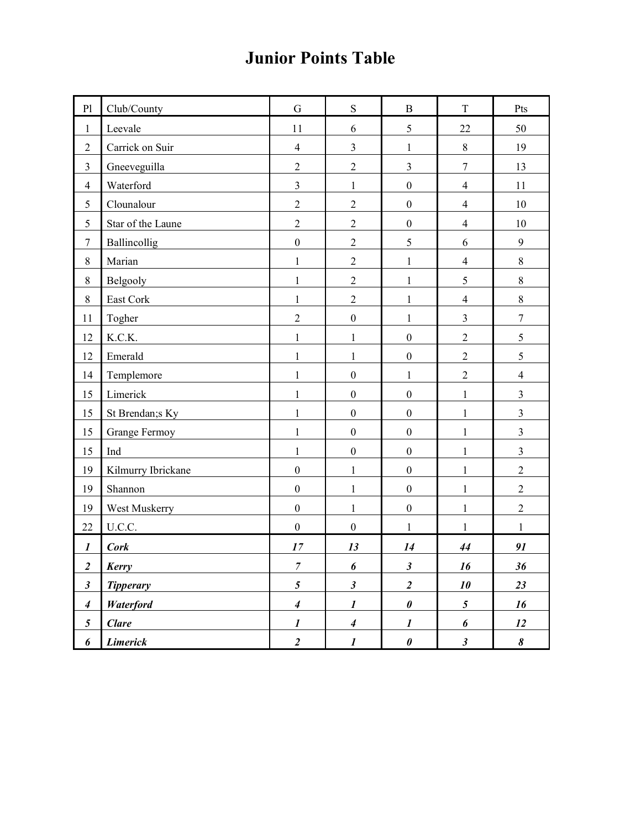## Junior Points Table

| P <sub>1</sub>       | Club/County          | G                | ${\bf S}$            | $\mathbf B$             | T                    | Pts              |
|----------------------|----------------------|------------------|----------------------|-------------------------|----------------------|------------------|
| $\mathbf{1}$         | Leevale              | 11               | 6                    | 5                       | 22                   | 50               |
| $\overline{2}$       | Carrick on Suir      | $\overline{4}$   | 3                    | $\mathbf{1}$            | $\,8\,$              | 19               |
| 3                    | Gneeveguilla         | $\overline{2}$   | $\overline{2}$       | 3                       | $\overline{7}$       | 13               |
| $\overline{4}$       | Waterford            | $\overline{3}$   | $\mathbf{1}$         | $\boldsymbol{0}$        | $\overline{4}$       | 11               |
| 5                    | Clounalour           | $\overline{2}$   | $\overline{2}$       | $\boldsymbol{0}$        | $\overline{4}$       | 10               |
| 5                    | Star of the Laune    | $\overline{2}$   | $\overline{2}$       | $\boldsymbol{0}$        | $\overline{4}$       | 10               |
| $\overline{7}$       | Ballincollig         | $\boldsymbol{0}$ | $\overline{2}$       | 5                       | 6                    | $\boldsymbol{9}$ |
| 8                    | Marian               | $\mathbf{1}$     | $\overline{2}$       | $\mathbf{1}$            | $\overline{4}$       | $\,8\,$          |
| 8                    | Belgooly             | $\mathbf{1}$     | $\overline{2}$       | $\mathbf{1}$            | 5                    | $\,8\,$          |
| $8\,$                | East Cork            | $\mathbf{1}$     | $\overline{2}$       | $\mathbf{1}$            | $\overline{4}$       | $\,8\,$          |
| 11                   | Togher               | $\overline{2}$   | $\boldsymbol{0}$     | $\mathbf{1}$            | $\overline{3}$       | $\boldsymbol{7}$ |
| 12                   | K.C.K.               | $\mathbf{1}$     | $\mathbf{1}$         | $\boldsymbol{0}$        | $\overline{2}$       | 5                |
| 12                   | Emerald              | $\mathbf{1}$     | $\mathbf{1}$         | $\boldsymbol{0}$        | $\overline{2}$       | 5                |
| 14                   | Templemore           | $\mathbf{1}$     | $\boldsymbol{0}$     | $\mathbf{1}$            | $\overline{2}$       | $\overline{4}$   |
| 15                   | Limerick             | $\mathbf{1}$     | $\boldsymbol{0}$     | $\boldsymbol{0}$        | $\mathbf{1}$         | $\mathfrak{Z}$   |
| 15                   | St Brendan; Ky       | $\mathbf{1}$     | $\boldsymbol{0}$     | $\boldsymbol{0}$        | $\mathbf{1}$         | $\overline{3}$   |
| 15                   | <b>Grange Fermoy</b> | $\mathbf{1}$     | $\boldsymbol{0}$     | $\boldsymbol{0}$        | $\mathbf{1}$         | $\overline{3}$   |
| 15                   | Ind                  | $\mathbf{1}$     | $\boldsymbol{0}$     | $\boldsymbol{0}$        | $\mathbf{1}$         | $\overline{3}$   |
| 19                   | Kilmurry Ibrickane   | $\boldsymbol{0}$ | $\mathbf{1}$         | $\boldsymbol{0}$        | $\mathbf 1$          | $\sqrt{2}$       |
| 19                   | Shannon              | $\boldsymbol{0}$ | $\mathbf{1}$         | $\boldsymbol{0}$        | $\mathbf{1}$         | $\overline{2}$   |
| 19                   | West Muskerry        | $\boldsymbol{0}$ | $\mathbf{1}$         | $\boldsymbol{0}$        | $\mathbf{1}$         | $\sqrt{2}$       |
| 22                   | U.C.C.               | $\boldsymbol{0}$ | $\boldsymbol{0}$     | $\mathbf{1}$            | $\mathbf{1}$         | $\mathbf{1}$     |
| $\boldsymbol{l}$     | <b>Cork</b>          | 17               | 13                   | 14                      | 44                   | 91               |
| $\boldsymbol{2}$     | Kerry                | 7                | 6                    | $\boldsymbol{\beta}$    | 16                   | 36               |
| $\boldsymbol{\beta}$ | <b>Tipperary</b>     | $5\overline{)}$  | $\boldsymbol{\beta}$ | $\overline{\mathbf{2}}$ | 10                   | 23               |
| $\boldsymbol{4}$     | <b>Waterford</b>     | $\boldsymbol{4}$ | $\boldsymbol{l}$     | $\boldsymbol{\theta}$   | 5 <sup>5</sup>       | 16               |
| $\mathfrak{s}$       | <b>Clare</b>         | $\boldsymbol{l}$ | $\boldsymbol{4}$     | $\boldsymbol{l}$        | 6                    | 12               |
| 6                    | <b>Limerick</b>      | $\overline{a}$   | $\boldsymbol{l}$     | $\boldsymbol{\theta}$   | $\boldsymbol{\beta}$ | 8                |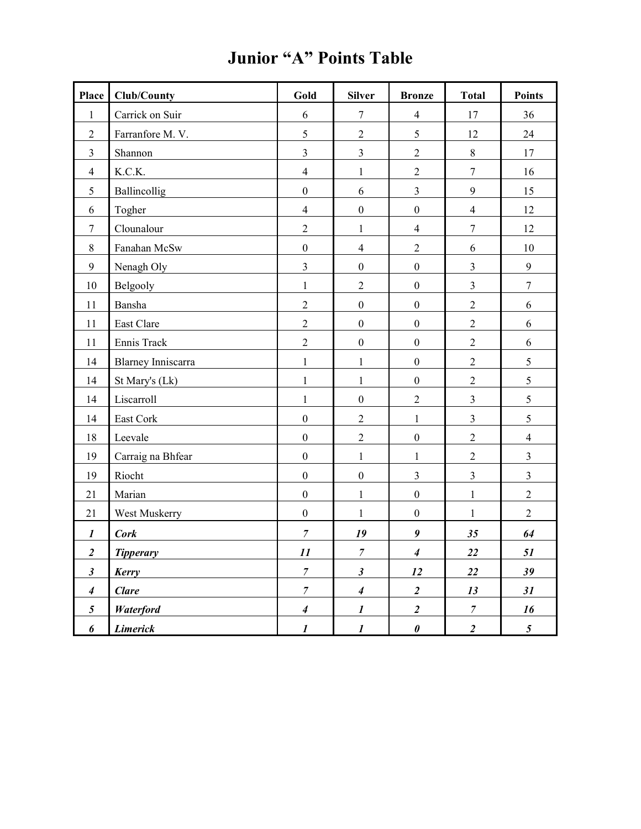| <b>Place</b>     | Club/County               | Gold                     | <b>Silver</b>    | <b>Bronze</b>           | <b>Total</b>     | <b>Points</b>    |
|------------------|---------------------------|--------------------------|------------------|-------------------------|------------------|------------------|
| $\mathbf{1}$     | Carrick on Suir           | 6                        | $\overline{7}$   | $\overline{4}$          | 17               | 36               |
| $\overline{2}$   | Farranfore M.V.           | 5                        | $\sqrt{2}$       | 5                       | 12               | 24               |
| $\mathfrak{Z}$   | Shannon                   | $\overline{3}$           | $\overline{3}$   | $\overline{2}$          | $\,8\,$          | 17               |
| $\overline{4}$   | K.C.K.                    | $\overline{4}$           | $\,1$            | $\overline{2}$          | $\boldsymbol{7}$ | 16               |
| 5                | Ballincollig              | $\boldsymbol{0}$         | 6                | $\overline{\mathbf{3}}$ | 9                | 15               |
| 6                | Togher                    | $\overline{4}$           | $\boldsymbol{0}$ | $\boldsymbol{0}$        | $\overline{4}$   | 12               |
| $\tau$           | Clounalour                | $\overline{2}$           | $\mathbf{1}$     | $\overline{4}$          | $\boldsymbol{7}$ | 12               |
| 8                | Fanahan McSw              | $\boldsymbol{0}$         | $\overline{4}$   | $\overline{2}$          | 6                | $10\,$           |
| 9                | Nenagh Oly                | $\overline{3}$           | $\boldsymbol{0}$ | $\boldsymbol{0}$        | $\mathfrak{Z}$   | $\boldsymbol{9}$ |
| 10               | Belgooly                  | $\,1\,$                  | $\mathbf{2}$     | $\boldsymbol{0}$        | $\mathfrak{Z}$   | $\tau$           |
| 11               | Bansha                    | $\overline{2}$           | $\boldsymbol{0}$ | $\boldsymbol{0}$        | $\sqrt{2}$       | 6                |
| 11               | East Clare                | $\overline{2}$           | $\boldsymbol{0}$ | $\boldsymbol{0}$        | $\overline{2}$   | 6                |
| 11               | Ennis Track               | $\overline{2}$           | $\boldsymbol{0}$ | $\boldsymbol{0}$        | $\boldsymbol{2}$ | 6                |
| 14               | <b>Blarney Inniscarra</b> | $\mathbf{1}$             | $\mathbf 1$      | $\boldsymbol{0}$        | $\overline{c}$   | 5                |
| 14               | St Mary's (Lk)            | $\,1\,$                  | $\mathbf{1}$     | $\boldsymbol{0}$        | $\overline{2}$   | 5                |
| 14               | Liscarroll                | $\,1\,$                  | $\boldsymbol{0}$ | $\overline{2}$          | $\overline{3}$   | 5                |
| 14               | East Cork                 | $\boldsymbol{0}$         | $\overline{2}$   | $\mathbf{1}$            | $\mathfrak{Z}$   | 5                |
| 18               | Leevale                   | $\boldsymbol{0}$         | $\overline{2}$   | $\boldsymbol{0}$        | $\overline{2}$   | $\overline{4}$   |
| 19               | Carraig na Bhfear         | $\boldsymbol{0}$         | $\mathbf{1}$     | $\mathbf{1}$            | $\overline{c}$   | $\mathfrak{Z}$   |
| 19               | Riocht                    | $\boldsymbol{0}$         | $\boldsymbol{0}$ | $\overline{\mathbf{3}}$ | $\mathfrak{Z}$   | $\mathfrak{Z}$   |
| 21               | Marian                    | $\boldsymbol{0}$         | $\mathbf{1}$     | $\boldsymbol{0}$        | $\mathbf{1}$     | $\overline{2}$   |
| 21               | West Muskerry             | $\boldsymbol{0}$         | $\mathbf{1}$     | $\boldsymbol{0}$        | $\,1\,$          | $\overline{2}$   |
| $\boldsymbol{l}$ | <b>Cork</b>               | $\boldsymbol{7}$         | 19               | $\boldsymbol{g}$        | 35               | 64               |
| $\overline{2}$   | <b>Tipperary</b>          | 11                       | $\boldsymbol{7}$ | $\overline{4}$          | $\overline{22}$  | 51               |
| $\mathfrak{z}$   | Kerry                     | $\boldsymbol{7}$         | $\mathfrak{z}$   | 12                      | 22               | 39               |
| $\boldsymbol{4}$ | <b>Clare</b>              | $\overline{\mathcal{I}}$ | $\overline{4}$   | $\overline{2}$          | 13               | 31               |
| 5                | <b>Waterford</b>          | $\boldsymbol{4}$         | $\boldsymbol{l}$ | $\overline{2}$          | $\boldsymbol{7}$ | 16               |
| 6                | <b>Limerick</b>           | $\boldsymbol{l}$         | $\boldsymbol{l}$ | $\boldsymbol{\theta}$   | $\overline{2}$   | $5\overline{)}$  |

## Junior "A" Points Table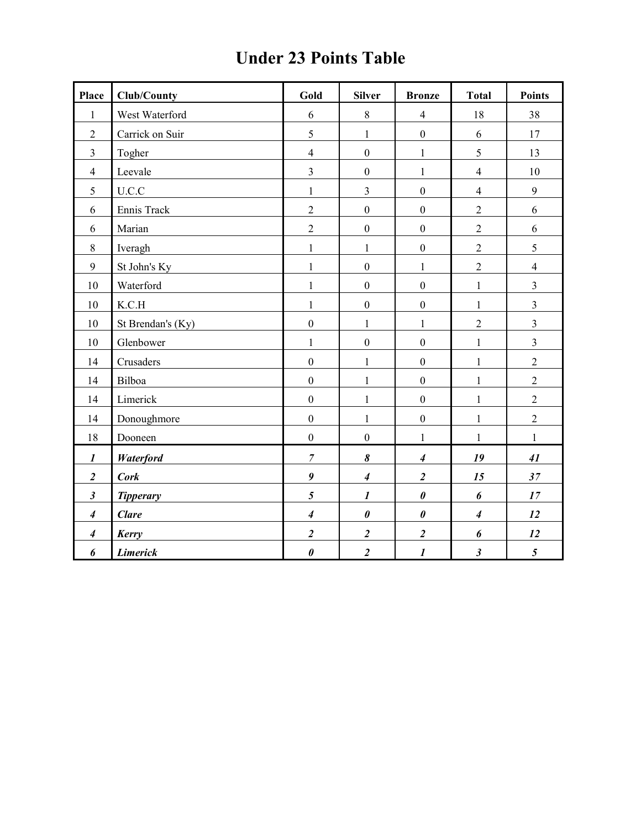| <b>Place</b>     | <b>Club/County</b> | Gold                  | <b>Silver</b>               | <b>Bronze</b>           | <b>Total</b>     | <b>Points</b>  |
|------------------|--------------------|-----------------------|-----------------------------|-------------------------|------------------|----------------|
| 1                | West Waterford     | 6                     | $\,8\,$                     | $\overline{4}$          | 18               | 38             |
| $\overline{2}$   | Carrick on Suir    | $\sqrt{5}$            | $\mathbf{1}$                | $\boldsymbol{0}$        | 6                | 17             |
| $\mathfrak{Z}$   | Togher             | $\overline{4}$        | $\boldsymbol{0}$            | $\mathbf{1}$            | $\sqrt{5}$       | 13             |
| $\overline{4}$   | Leevale            | $\mathfrak{Z}$        | $\boldsymbol{0}$            | $\mathbf{1}$            | $\overline{4}$   | 10             |
| 5                | U.C.C              | $\mathbf{1}$          | $\overline{3}$              | $\mathbf{0}$            | $\overline{4}$   | 9              |
| 6                | Ennis Track        | $\sqrt{2}$            | $\boldsymbol{0}$            | $\mathbf{0}$            | $\overline{2}$   | 6              |
| 6                | Marian             | $\sqrt{2}$            | $\boldsymbol{0}$            | $\boldsymbol{0}$        | $\overline{2}$   | 6              |
| $\,8\,$          | Iveragh            | $\,1$                 | $\mathbf{1}$                | $\boldsymbol{0}$        | $\boldsymbol{2}$ | 5              |
| 9                | St John's Ky       | $\,1$                 | $\mathbf{0}$                | $\mathbf{1}$            | $\sqrt{2}$       | $\overline{4}$ |
| 10               | Waterford          | $\,1$                 | $\boldsymbol{0}$            | $\mathbf{0}$            | $\,1$            | $\overline{3}$ |
| 10               | K.C.H              | $\,1$                 | $\boldsymbol{0}$            | $\boldsymbol{0}$        | $\,1$            | $\overline{3}$ |
| 10               | St Brendan's (Ky)  | $\boldsymbol{0}$      | $\mathbf{1}$                | $\mathbf{1}$            | $\sqrt{2}$       | $\overline{3}$ |
| $10\,$           | Glenbower          | $\,1$                 | $\boldsymbol{0}$            | $\boldsymbol{0}$        | $\,1$            | $\mathfrak{Z}$ |
| 14               | Crusaders          | $\mathbf{0}$          | $\mathbf{1}$                | $\boldsymbol{0}$        | $\mathbf{1}$     | $\overline{2}$ |
| 14               | Bilboa             | $\boldsymbol{0}$      | $\mathbf{1}$                | $\mathbf{0}$            | $\,1$            | $\overline{2}$ |
| 14               | Limerick           | $\boldsymbol{0}$      | $\mathbf{1}$                | $\boldsymbol{0}$        | $\mathbf 1$      | $\overline{2}$ |
| 14               | Donoughmore        | $\boldsymbol{0}$      | $\mathbf{1}$                | $\boldsymbol{0}$        | $\,1$            | $\overline{2}$ |
| 18               | Dooneen            | $\boldsymbol{0}$      | $\boldsymbol{0}$            | $\mathbf{1}$            | $\mathbf 1$      | $\mathbf{1}$   |
| $\boldsymbol{l}$ | Waterford          | $\overline{7}$        | $\boldsymbol{\delta}$       | $\boldsymbol{4}$        | 19               | 41             |
| $\overline{2}$   | <b>Cork</b>        | $\pmb{9}$             | $\overline{\boldsymbol{4}}$ | $\boldsymbol{2}$        | 15               | 37             |
| $\mathfrak{z}$   | <b>Tipperary</b>   | $\mathfrak{H}$        | $\boldsymbol{l}$            | $\pmb{\theta}$          | 6                | 17             |
| $\boldsymbol{4}$ | <b>Clare</b>       | $\boldsymbol{4}$      | $\boldsymbol{\theta}$       | $\pmb{\theta}$          | $\boldsymbol{4}$ | 12             |
| $\boldsymbol{4}$ | Kerry              | $\boldsymbol{2}$      | $\overline{\mathbf{c}}$     | $\overline{\mathbf{c}}$ | 6                | 12             |
| 6                | <b>Limerick</b>    | $\boldsymbol{\theta}$ | $\overline{2}$              | $\boldsymbol{l}$        | $\mathfrak{z}$   | $\mathfrak{s}$ |

## Under 23 Points Table